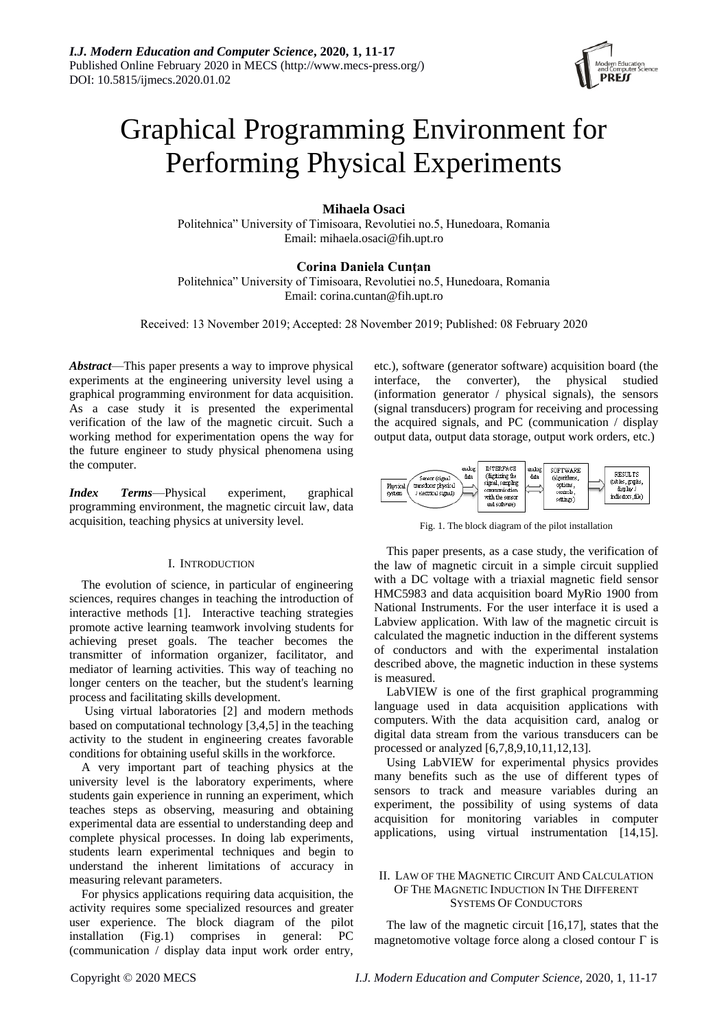

# Graphical Programming Environment for Performing Physical Experiments

## **Mihaela Osaci**

Politehnica" University of Timisoara, Revolutiei no.5, Hunedoara, Romania Email: mihaela.osaci@fih.upt.ro

## **Corina Daniela Cunţan**

Politehnica" University of Timisoara, Revolutiei no.5, Hunedoara, Romania Email: corina.cuntan@fih.upt.ro

Received: 13 November 2019; Accepted: 28 November 2019; Published: 08 February 2020

*Abstract*—This paper presents a way to improve physical experiments at the engineering university level using a graphical programming environment for data acquisition. As a case study it is presented the experimental verification of the law of the magnetic circuit. Such a working method for experimentation opens the way for the future engineer to study physical phenomena using the computer.

*Index Terms*—Physical experiment, graphical programming environment, the magnetic circuit law, data acquisition, teaching physics at university level.

#### I. INTRODUCTION

The evolution of science, in particular of engineering sciences, requires changes in teaching the introduction of interactive methods [1]. Interactive teaching strategies promote active learning teamwork involving students for achieving preset goals. The teacher becomes the transmitter of information organizer, facilitator, and mediator of learning activities. This way of teaching no longer centers on the teacher, but the student's learning process and facilitating skills development.

Using virtual laboratories [2] and modern methods based on computational technology [3,4,5] in the teaching activity to the student in engineering creates favorable conditions for obtaining useful skills in the workforce.

A very important part of teaching physics at the university level is the laboratory experiments, where students gain experience in running an experiment, which teaches steps as observing, measuring and obtaining experimental data are essential to understanding deep and complete physical processes. In doing lab experiments, students learn experimental techniques and begin to understand the inherent limitations of accuracy in measuring relevant parameters.

For physics applications requiring data acquisition, the activity requires some specialized resources and greater user experience. The block diagram of the pilot installation (Fig.1) comprises in general: PC (communication / display data input work order entry,

etc.), software (generator software) acquisition board (the interface, the converter), the physical studied (information generator / physical signals), the sensors (signal transducers) program for receiving and processing the acquired signals, and PC (communication / display output data, output data storage, output work orders, etc.)



Fig. 1. The block diagram of the pilot installation

This paper presents, as a case study, the verification of the law of magnetic circuit in a simple circuit supplied with a DC voltage with a triaxial magnetic field sensor HMC5983 and data acquisition board MyRio 1900 from National Instruments. For the user interface it is used a Labview application. With law of the magnetic circuit is calculated the magnetic induction in the different systems of conductors and with the experimental instalation described above, the magnetic induction in these systems is measured.

LabVIEW is one of the first graphical programming language used in data acquisition applications with computers. With the data acquisition card, analog or digital data stream from the various transducers can be processed or analyzed [6,7,8,9,10,11,12,13].

Using LabVIEW for experimental physics provides many benefits such as the use of different types of sensors to track and measure variables during an experiment, the possibility of using systems of data acquisition for monitoring variables in computer applications, using virtual instrumentation [14,15].

## II. LAW OF THE MAGNETIC CIRCUIT AND CALCULATION OF THE MAGNETIC INDUCTION IN THE DIFFERENT SYSTEMS OF CONDUCTORS

The law of the magnetic circuit [16,17], states that the magnetomotive voltage force along a closed contour  $\Gamma$  is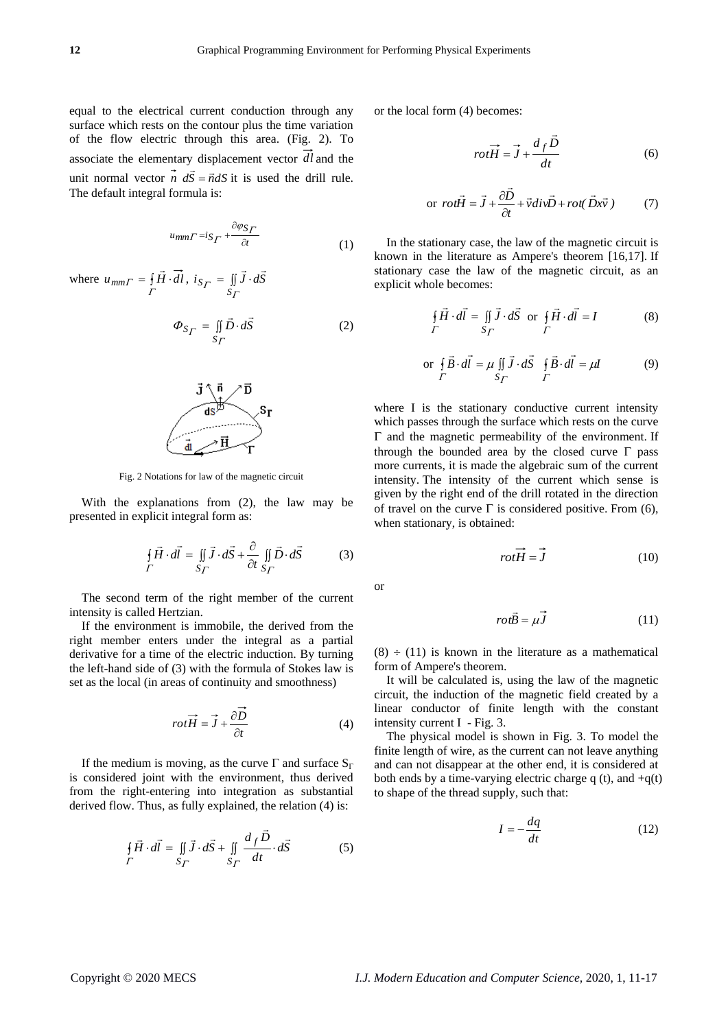equal to the electrical current conduction through any surface which rests on the contour plus the time variation of the flow electric through this area. (Fig. 2). To associate the elementary displacement vector *dl* and the unit normal vector  $\vec{n}$   $d\vec{S} = \vec{n}dS$  it is used the drill rule. The default integral formula is:

$$
u_{mm}\Gamma = i_{S}\Gamma + \frac{\partial \varphi_{S}\Gamma}{\partial t}
$$
 (1)

where 
$$
u_{mm\Gamma} = \oint_{\Gamma} \vec{H} \cdot \vec{dl}
$$
,  $i_{S_{\Gamma}} = \iint_{S_{\Gamma}} \vec{J} \cdot d\vec{S}$   
\n
$$
\Phi_{S_{\Gamma}} = \iint_{S_{\Gamma}} \vec{D} \cdot d\vec{S}
$$
\n(2)



Fig. 2 Notations for law of the magnetic circuit

With the explanations from (2), the law may be presented in explicit integral form as:

$$
\oint_{\Gamma} \vec{H} \cdot d\vec{l} = \iint_{S_{\Gamma}} \vec{J} \cdot d\vec{S} + \frac{\partial}{\partial t} \iint_{S_{\Gamma}} \vec{D} \cdot d\vec{S}
$$
(3)

The second term of the right member of the current intensity is called Hertzian.

If the environment is immobile, the derived from the right member enters under the integral as a partial derivative for a time of the electric induction. By turning the left-hand side of (3) with the formula of Stokes law is set as the local (in areas of continuity and smoothness)

$$
rot\vec{H} = \vec{J} + \frac{\partial \vec{D}}{\partial t}
$$
 (4)

If the medium is moving, as the curve  $\Gamma$  and surface  $S_{\Gamma}$ is considered joint with the environment, thus derived from the right-entering into integration as substantial derived flow. Thus, as fully explained, the relation (4) is:

$$
\oint_{\Gamma} \vec{H} \cdot d\vec{l} = \iint_{S_{\Gamma}} \vec{J} \cdot d\vec{S} + \iint_{S_{\Gamma}} \frac{d_f \vec{D}}{dt} \cdot d\vec{S}
$$
(5)

or the local form (4) becomes:

$$
rot\vec{H} = \vec{J} + \frac{d_f \vec{D}}{dt}
$$
 (6)

or 
$$
rot\vec{H} = \vec{J} + \frac{\partial \vec{D}}{\partial t} + \vec{v} \, \text{div} \vec{D} + \text{rot}(\vec{D}x\vec{v})
$$
 (7)

In the stationary case, the law of the magnetic circuit is known in the literature as Ampere's theorem [16,17]. If stationary case the law of the magnetic circuit, as an explicit whole becomes:

$$
\oint_{\Gamma} \vec{H} \cdot d\vec{l} = \iint_{\Gamma} \vec{J} \cdot d\vec{S} \text{ or } \oint_{\Gamma} \vec{H} \cdot d\vec{l} = I
$$
 (8)

or 
$$
\oint_{\Gamma} \vec{B} \cdot d\vec{l} = \mu \iint_{S_{\Gamma}} \vec{J} \cdot d\vec{S} \quad \oint_{\Gamma} \vec{B} \cdot d\vec{l} = \mu \vec{l}
$$
 (9)

where I is the stationary conductive current intensity which passes through the surface which rests on the curve  $\Gamma$  and the magnetic permeability of the environment. If through the bounded area by the closed curve  $\Gamma$  pass more currents, it is made the algebraic sum of the current intensity. The intensity of the current which sense is given by the right end of the drill rotated in the direction of travel on the curve  $\Gamma$  is considered positive. From (6), when stationary, is obtained:

$$
rot\vec{H} = \vec{J} \tag{10}
$$

or

$$
rot\vec{B} = \mu \vec{J} \tag{11}
$$

 $(8) \div (11)$  is known in the literature as a mathematical form of Ampere's theorem.

It will be calculated is, using the law of the magnetic circuit, the induction of the magnetic field created by a linear conductor of finite length with the constant intensity current I - Fig. 3.

The physical model is shown in Fig. 3. To model the finite length of wire, as the current can not leave anything and can not disappear at the other end, it is considered at both ends by a time-varying electric charge q (t), and  $+q(t)$ to shape of the thread supply, such that:

$$
I = -\frac{dq}{dt} \tag{12}
$$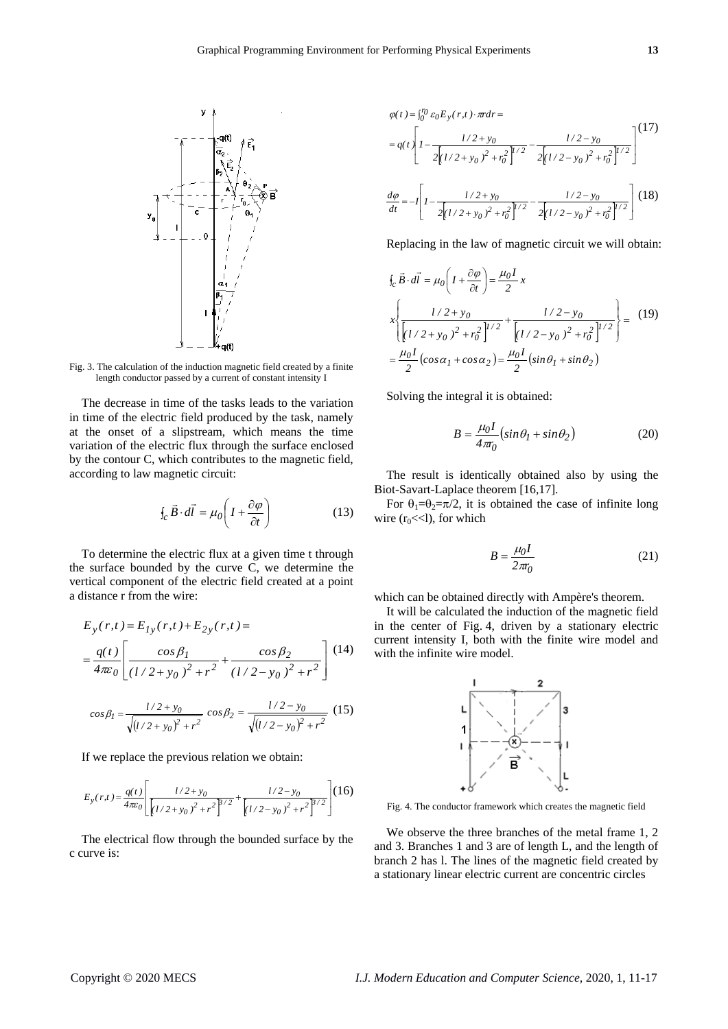

Fig. 3. The calculation of the induction magnetic field created by a finite length conductor passed by a current of constant intensity I

The decrease in time of the tasks leads to the variation in time of the electric field produced by the task, namely at the onset of a slipstream, which means the time variation of the electric flux through the surface enclosed by the contour C, which contributes to the magnetic field, according to law magnetic circuit:

$$
\oint_{C} \vec{B} \cdot d\vec{l} = \mu_{0} \left( I + \frac{\partial \varphi}{\partial t} \right)
$$
(13)

To determine the electric flux at a given time t through the surface bounded by the curve C, we determine the vertical component of the electric field created at a point a distance r from the wire:

$$
E_y(r,t) = E_{Iy}(r,t) + E_{2y}(r,t) =
$$
  
= 
$$
\frac{q(t)}{4\pi\varepsilon_0} \left[ \frac{\cos\beta_1}{(1/2 + y_0)^2 + r^2} + \frac{\cos\beta_2}{(1/2 - y_0)^2 + r^2} \right]
$$
(14)

$$
cos\beta_1 = \frac{l/2 + y_0}{\sqrt{(l/2 + y_0)^2 + r^2}} cos\beta_2 = \frac{l/2 - y_0}{\sqrt{(l/2 - y_0)^2 + r^2}} (15)
$$

If we replace the previous relation we obtain:

$$
E_{y}(r,t) = \frac{q(t)}{4\pi\epsilon_0} \left[ \frac{l/2 + y_0}{\left[ l/2 + y_0 \right]^2 + r^2 \right]^{3/2}} + \frac{l/2 - y_0}{\left[ l/2 - y_0 \right]^2 + r^2 \right]^{3/2}} \left[ (16)
$$

The electrical flow through the bounded surface by the c curve is:

$$
\varphi(t) = \int_0^{r_0} \varepsilon_0 E_y(r, t) \cdot \pi dr =
$$
\n
$$
= q(t) \left[ 1 - \frac{l/2 + y_0}{2\left[ l/2 + y_0 \right]^2 + r_0^2} \right]^{1/2} - \frac{l/2 - y_0}{2\left[ l/2 - y_0 \right]^2 + r_0^2} \right]^{1/2}
$$
\n
$$
\frac{d\varphi}{dt} = -l \left[ 1 - \frac{l/2 + y_0}{2\left[ l/2 + y_0 \right]^2 + r_0^2} \right]^{1/2} - \frac{l/2 - y_0}{2\left[ l/2 - y_0 \right]^2 + r_0^2} \right]^{1/2} \tag{18}
$$

Replacing in the law of magnetic circuit we will obtain:

$$
\oint_{c} \vec{B} \cdot d\vec{l} = \mu_{0} \left( I + \frac{\partial \varphi}{\partial t} \right) = \frac{\mu_{0} I}{2} x
$$
\n
$$
x \left\{ \frac{I/2 + y_{0}}{\left[ I/2 + y_{0} \right]^{2} + r_{0}^{2} \right]^{1/2}} + \frac{I/2 - y_{0}}{\left[ I/2 - y_{0} \right]^{2} + r_{0}^{2} \right\}^{1/2}} = \frac{(19)}{2}
$$
\n
$$
= \frac{\mu_{0} I}{2} \left( \cos \alpha_{1} + \cos \alpha_{2} \right) = \frac{\mu_{0} I}{2} \left( \sin \theta_{1} + \sin \theta_{2} \right)
$$

Solving the integral it is obtained:

$$
B = \frac{\mu_0 I}{4\pi r_0} \left( \sin \theta_1 + \sin \theta_2 \right) \tag{20}
$$

The result is identically obtained also by using the Biot-Savart-Laplace theorem [16,17].

For  $\theta_1=\theta_2=\pi/2$ , it is obtained the case of infinite long wire  $(r_0 \ll 1)$ , for which

$$
B = \frac{\mu_0 I}{2\pi r_0} \tag{21}
$$

which can be obtained directly with Ampère's theorem.

It will be calculated the induction of the magnetic field in the center of Fig. 4, driven by a stationary electric current intensity I, both with the finite wire model and with the infinite wire model.



Fig. 4. The conductor framework which creates the magnetic field

We observe the three branches of the metal frame 1, 2 and 3. Branches 1 and 3 are of length L, and the length of branch 2 has l. The lines of the magnetic field created by a stationary linear electric current are concentric circles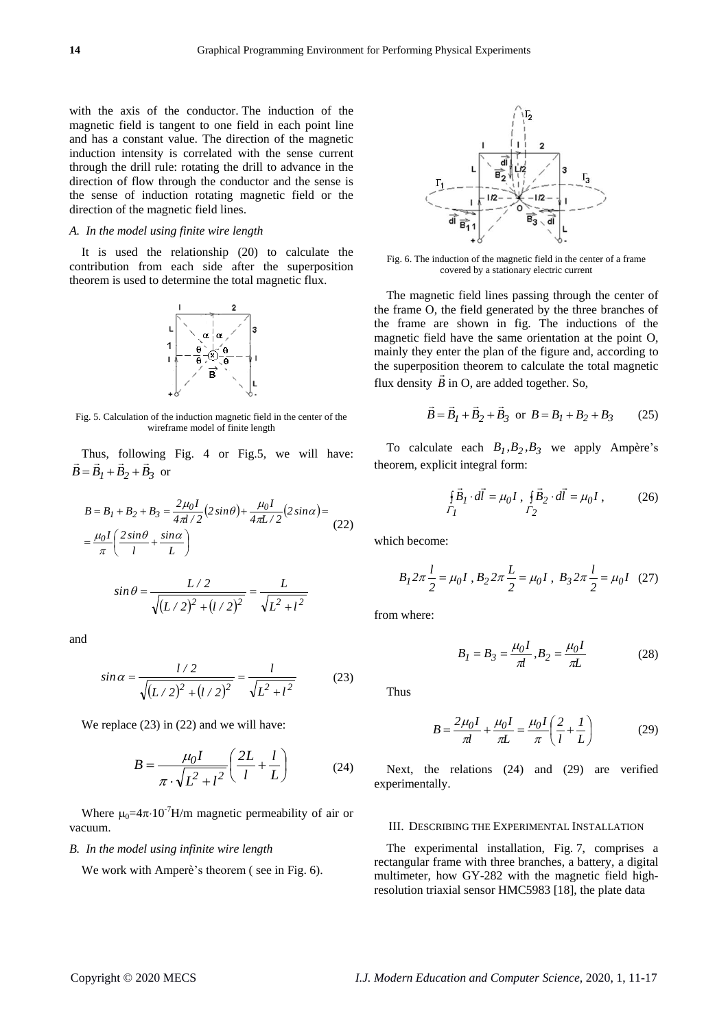with the axis of the conductor. The induction of the magnetic field is tangent to one field in each point line and has a constant value. The direction of the magnetic induction intensity is correlated with the sense current through the drill rule: rotating the drill to advance in the direction of flow through the conductor and the sense is the sense of induction rotating magnetic field or the direction of the magnetic field lines.

#### *A. In the model using finite wire length*

It is used the relationship (20) to calculate the contribution from each side after the superposition theorem is used to determine the total magnetic flux.



Fig. 5. Calculation of the induction magnetic field in the center of the wireframe model of finite length

Thus, following Fig. 4 or Fig.5, we will have:  $B = B_1 + B_2 + B_3$  or

$$
B = B_1 + B_2 + B_3 = \frac{2\mu_0 I}{4\pi l/2} (2\sin\theta) + \frac{\mu_0 I}{4\pi L/2} (2\sin\alpha) =
$$
  
= 
$$
\frac{\mu_0 I}{\pi} \left( \frac{2\sin\theta}{l} + \frac{\sin\alpha}{L} \right)
$$
 (22)

$$
\sin \theta = \frac{L/2}{\sqrt{(L/2)^2 + (l/2)^2}} = \frac{L}{\sqrt{L^2 + l^2}}
$$

and

$$
\sin \alpha = \frac{l/2}{\sqrt{(L/2)^2 + (l/2)^2}} = \frac{l}{\sqrt{L^2 + l^2}}
$$
(23)

We replace  $(23)$  in  $(22)$  and we will have:

$$
B = \frac{\mu_0 I}{\pi \cdot \sqrt{L^2 + l^2}} \left(\frac{2L}{l} + \frac{l}{L}\right) \tag{24}
$$

Where  $\mu_0=4\pi \cdot 10^{-7}$ H/m magnetic permeability of air or vacuum.

### *B. In the model using infinite wire length*

We work with Amper $\check{e}$ 's theorem ( see in Fig. 6).



Fig. 6. The induction of the magnetic field in the center of a frame covered by a stationary electric current

The magnetic field lines passing through the center of the frame O, the field generated by the three branches of the frame are shown in fig. The inductions of the magnetic field have the same orientation at the point O, mainly they enter the plan of the figure and, according to the superposition theorem to calculate the total magnetic flux density  $\hat{B}$  in O, are added together. So,

$$
\vec{B} = \vec{B}_1 + \vec{B}_2 + \vec{B}_3 \text{ or } B = B_1 + B_2 + B_3 \qquad (25)
$$

To calculate each  $B_1$ ,  $B_2$ ,  $B_3$  we apply Ampère's theorem, explicit integral form:

$$
\oint_{\Gamma_1} \vec{B}_I \cdot d\vec{l} = \mu_0 I \ , \ \oint_{\Gamma_2} \vec{B}_2 \cdot d\vec{l} = \mu_0 I \ , \tag{26}
$$

which become:

$$
B_1 2\pi \frac{l}{2} = \mu_0 I \ , \ B_2 2\pi \frac{L}{2} = \mu_0 I \ , \ B_3 2\pi \frac{l}{2} = \mu_0 I \quad (27)
$$

from where:

$$
B_1 = B_3 = \frac{\mu_0 I}{\pi l}, B_2 = \frac{\mu_0 I}{\pi L}
$$
 (28)

Thus

$$
B = \frac{2\mu_0 I}{\pi l} + \frac{\mu_0 I}{\pi L} = \frac{\mu_0 I}{\pi} \left(\frac{2}{l} + \frac{I}{L}\right)
$$
(29)

Next, the relations (24) and (29) are verified experimentally.

#### III. DESCRIBING THE EXPERIMENTAL INSTALLATION

The experimental installation, Fig. 7, comprises a rectangular frame with three branches, a battery, a digital multimeter, how GY-282 with the magnetic field highresolution triaxial sensor HMC5983 [18], the plate data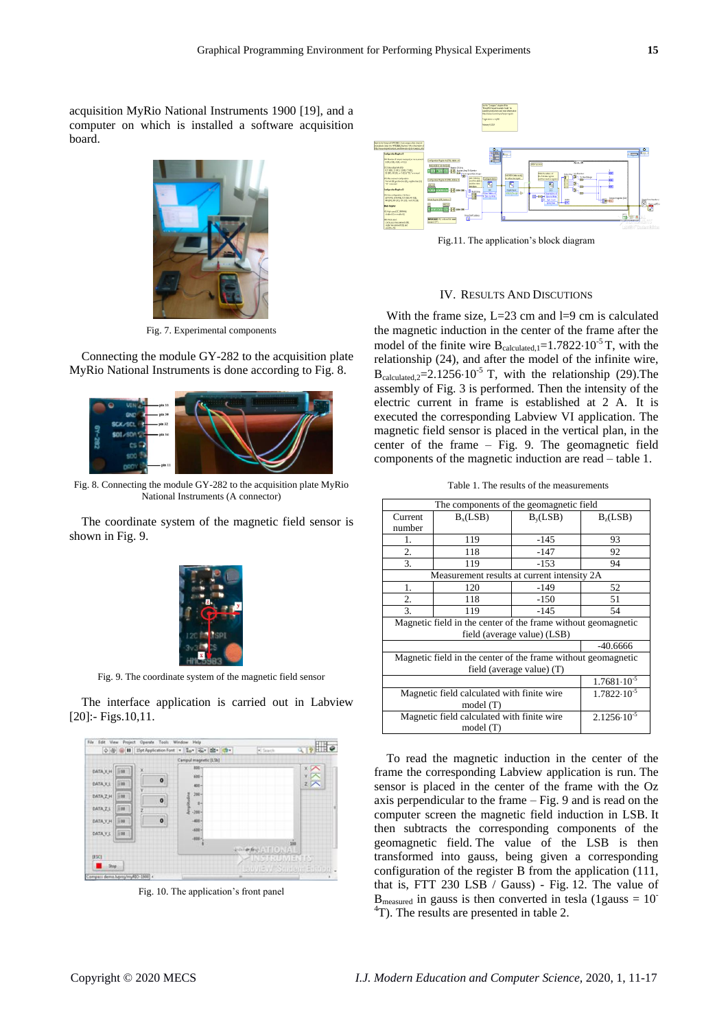acquisition MyRio National Instruments 1900 [19], and a computer on which is installed a software acquisition board.



Fig. 7. Experimental components

Connecting the module GY-282 to the acquisition plate MyRio National Instruments is done according to Fig. 8.



Fig. 8. Connecting the module GY-282 to the acquisition plate MyRio National Instruments (A connector)

The coordinate system of the magnetic field sensor is shown in Fig. 9.



Fig. 9. The coordinate system of the magnetic field sensor

The interface application is carried out in Labview [20]:- Figs.10.11.



Fig. 10. The application's front panel



Fig.11. The application's block diagram

#### IV. RESULTS AND DISCUTIONS

With the frame size,  $L=23$  cm and  $l=9$  cm is calculated the magnetic induction in the center of the frame after the model of the finite wire  $B_{calculated,1}=1.7822 \cdot 10^{-5}$  T, with the relationship (24), and after the model of the infinite wire,  $B_{calculated}$   $=$  2.1256 $\cdot$ 10<sup>-5</sup> T, with the relationship (29). The assembly of Fig. 3 is performed. Then the intensity of the electric current in frame is established at 2 A. It is executed the corresponding Labview VI application. The magnetic field sensor is placed in the vertical plan, in the center of the frame – Fig. 9. The geomagnetic field components of the magnetic induction are read – table 1.

Table 1. The results of the measurements

| The components of the geomagnetic field                       |                      |            |                        |
|---------------------------------------------------------------|----------------------|------------|------------------------|
| Current                                                       | B <sub>x</sub> (LSB) | $B_v(LSB)$ | B <sub>7</sub> (LSB)   |
| number                                                        |                      |            |                        |
| 1.                                                            | 119                  | $-145$     | 93                     |
| 2.                                                            | 118                  | $-147$     | 92                     |
| $\overline{3}$ .                                              | 119                  | $-153$     | 94                     |
| Measurement results at current intensity 2A                   |                      |            |                        |
| 1.                                                            | 120                  | $-149$     | 52                     |
| 2.                                                            | 118                  | -150       | 51                     |
| 3.                                                            | 119                  | $-145$     | 54                     |
| Magnetic field in the center of the frame without geomagnetic |                      |            |                        |
| field (average value) (LSB)                                   |                      |            |                        |
|                                                               |                      |            | $-40.6666$             |
| Magnetic field in the center of the frame without geomagnetic |                      |            |                        |
| field (average value) (T)                                     |                      |            |                        |
|                                                               |                      |            | $1.7681 \cdot 10^{-5}$ |
| Magnetic field calculated with finite wire                    |                      |            | $1.7822 \cdot 10^{-5}$ |
| model (T)                                                     |                      |            |                        |
| Magnetic field calculated with finite wire                    |                      |            | $2.1256 \cdot 10^{-5}$ |
| model $(T)$                                                   |                      |            |                        |

To read the magnetic induction in the center of the frame the corresponding Labview application is run. The sensor is placed in the center of the frame with the Oz axis perpendicular to the frame – Fig. 9 and is read on the computer screen the magnetic field induction in LSB. It then subtracts the corresponding components of the geomagnetic field. The value of the LSB is then transformed into gauss, being given a corresponding configuration of the register B from the application (111, that is, FTT 230 LSB / Gauss) - Fig. 12. The value of  $B_{measured}$  in gauss is then converted in tesla (1gauss = 10<sup>-</sup> <sup>4</sup>T). The results are presented in table 2.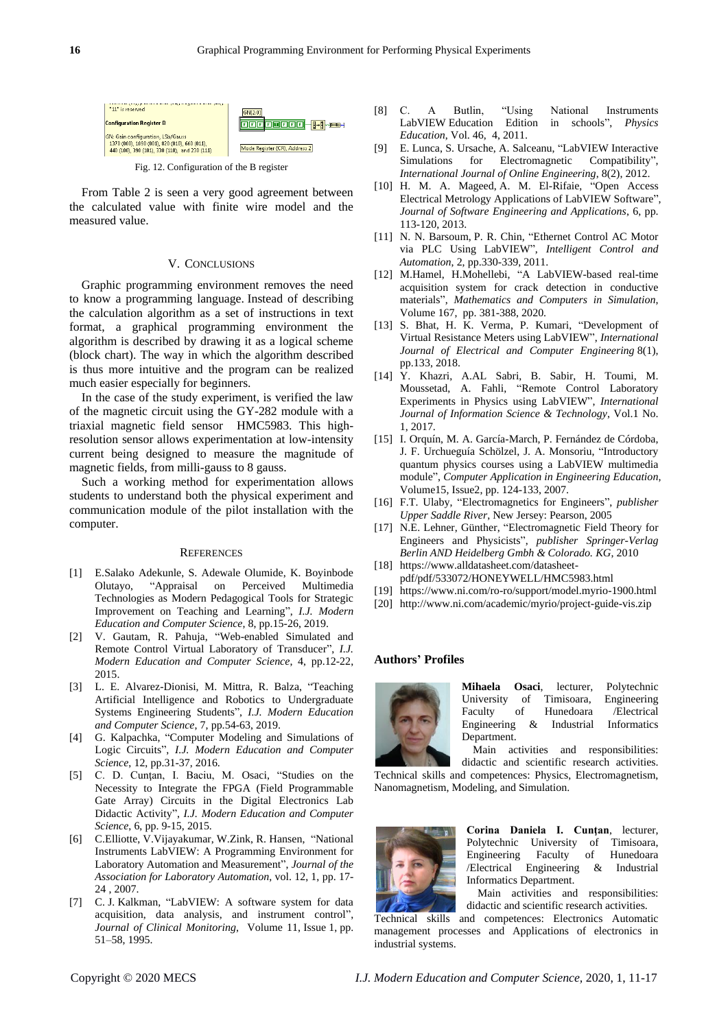

Fig. 12. Configuration of the B register

From Table 2 is seen a very good agreement between the calculated value with finite wire model and the measured value.

#### V. CONCLUSIONS

Graphic programming environment removes the need to know a programming language. Instead of describing the calculation algorithm as a set of instructions in text format, a graphical programming environment the algorithm is described by drawing it as a logical scheme (block chart). The way in which the algorithm described is thus more intuitive and the program can be realized much easier especially for beginners.

In the case of the study experiment, is verified the law of the magnetic circuit using the GY-282 module with a triaxial magnetic field sensor HMC5983. This highresolution sensor allows experimentation at low-intensity current being designed to measure the magnitude of magnetic fields, from milli-gauss to 8 gauss.

Such a working method for experimentation allows students to understand both the physical experiment and communication module of the pilot installation with the computer.

#### **REFERENCES**

- [1] E.Salako Adekunle, S. Adewale Olumide, K. Boyinbode Olutayo, "Appraisal on Perceived Multimedia Technologies as Modern Pedagogical Tools for Strategic Improvement on Teaching and Learning", *I.J. Modern Education and Computer Science*, 8, pp.15-26, 2019.
- [2] V. Gautam, R. Pahuja, "Web-enabled Simulated and Remote Control Virtual Laboratory of Transducer", *I.J. Modern Education and Computer Science*, 4, pp.12-22, 2015.
- [3] L. E. Alvarez-Dionisi, M. Mittra, R. Balza, "Teaching Artificial Intelligence and Robotics to Undergraduate Systems Engineering Students", *I.J. Modern Education and Computer Science*, 7, pp.54-63, 2019.
- [4] G. Kalpachka, "Computer Modeling and Simulations of Logic Circuits", *I.J. Modern Education and Computer Science*, 12, pp.31-37, 2016.
- [5] C. D. Cunţan, I. Baciu, M. Osaci, "Studies on the Necessity to Integrate the FPGA (Field Programmable Gate Array) Circuits in the Digital Electronics Lab Didactic Activity", *I.J. Modern Education and Computer Science*, 6, pp. 9-15, 2015.
- [6] C.Elliotte, [V.Vijayakumar,](https://journals.sagepub.com/doi/10.1016/j.jala.2006.07.012) [W.Zink,](https://journals.sagepub.com/doi/10.1016/j.jala.2006.07.012) [R. Hansen,](https://journals.sagepub.com/doi/10.1016/j.jala.2006.07.012) ["National](https://journals.sagepub.com/doi/full/10.1016/j.jala.2006.07.012)  [Instruments LabVIEW: A Programming Environment for](https://journals.sagepub.com/doi/full/10.1016/j.jala.2006.07.012)  [Laboratory Automation and Measurement"](https://journals.sagepub.com/doi/full/10.1016/j.jala.2006.07.012), *Journal of the Association for Laboratory Automation*, vol. 12, 1, pp. 17- 24 , 2007.
- [7] C. J. Kalkman, "LabVIEW: A software system for data acquisition, data analysis, and instrument control", *[Journal of Clinical Monitoring](https://link.springer.com/journal/10877)*, Volume 11, [Issue](https://link.springer.com/journal/10877/11/1/page/1) 1, pp. 51–58, 1995.
- [8] C. A Butlin, "Using National Instruments LabVIEW Education Edition in schools", *[Physics](https://iopscience.iop.org/journal/0031-9120)  [Education](https://iopscience.iop.org/journal/0031-9120)*, [Vol.](https://iopscience.iop.org/volume/0031-9120/46) 46, [4,](https://iopscience.iop.org/issue/0031-9120/46/4) 2011.
- [9] E. [Lunca,](https://www.researchgate.net/profile/Eduard_Lunca?_sg%5B0%5D=abj92sgn0mT_DKjFJkTzxlh_BVBZr4T6ejX-ZnJKP5t39kq86GrRaP_BYzcQi8KMlFgi7GI.DndPfTepPwhklTWccFdbwJED2ExyUXAXcZzX60O7ar0wpvineav1e0Vi--BhT7BgarBGRkfk5lQJGAg7UFeOTQ&_sg%5B1%5D=hQOwqHioYUW7ybPh0MS2Y8d8R_Guy4xFxWpJWjIokL6geEkeQqLdOk9MvXtTV9VuOacgBbMCkRCH40Id.SHDZyGNvPaspEs7gaSmnof3aJY_TGj12CZ391ppN2QV7nV1eb4aUcwh-l-n9B_QXrlgSaT2U2cK-JgKm8E3-Yw) [S. Ursache,](https://www.researchgate.net/profile/Silviu_Ursache2?_sg%5B0%5D=abj92sgn0mT_DKjFJkTzxlh_BVBZr4T6ejX-ZnJKP5t39kq86GrRaP_BYzcQi8KMlFgi7GI.DndPfTepPwhklTWccFdbwJED2ExyUXAXcZzX60O7ar0wpvineav1e0Vi--BhT7BgarBGRkfk5lQJGAg7UFeOTQ&_sg%5B1%5D=hQOwqHioYUW7ybPh0MS2Y8d8R_Guy4xFxWpJWjIokL6geEkeQqLdOk9MvXtTV9VuOacgBbMCkRCH40Id.SHDZyGNvPaspEs7gaSmnof3aJY_TGj12CZ391ppN2QV7nV1eb4aUcwh-l-n9B_QXrlgSaT2U2cK-JgKm8E3-Yw) [A. Salceanu,](https://www.researchgate.net/profile/Alexandru_Salceanu?_sg%5B0%5D=abj92sgn0mT_DKjFJkTzxlh_BVBZr4T6ejX-ZnJKP5t39kq86GrRaP_BYzcQi8KMlFgi7GI.DndPfTepPwhklTWccFdbwJED2ExyUXAXcZzX60O7ar0wpvineav1e0Vi--BhT7BgarBGRkfk5lQJGAg7UFeOTQ&_sg%5B1%5D=hQOwqHioYUW7ybPh0MS2Y8d8R_Guy4xFxWpJWjIokL6geEkeQqLdOk9MvXtTV9VuOacgBbMCkRCH40Id.SHDZyGNvPaspEs7gaSmnof3aJY_TGj12CZ391ppN2QV7nV1eb4aUcwh-l-n9B_QXrlgSaT2U2cK-JgKm8E3-Yw) "LabVIEW Interactive Simulations for Electromagnetic Compatibility", *International Journal of Online Engineering*, 8(2), 2012.
- [10] H. M. A. [Mageed,](https://www.scirp.org/journal/articles.aspx?searchCode=Hala+M.+Abdel++Mageed&searchField=authors&page=1) A. [M. El-Rifaie,](https://www.scirp.org/journal/articles.aspx?searchCode=Ali+M.++El-Rifaie&searchField=authors&page=1) "Open [Access](https://www.scirp.org/journal/paperinformation.aspx?paperid=29508) Electrical Metrology Applications of LabVIEW Software", *Journal of Software Engineering and Applications*, 6, pp. 113-120, 2013.
- [11] N. [N. Barsoum,](https://www.scirp.org/journal/articles.aspx?searchCode=Nader+N.++Barsoum&searchField=authors&page=1) P. R. [Chin,](https://www.scirp.org/journal/articles.aspx?searchCode=Pin+Rui++Chin&searchField=authors&page=1) "Ethernet Control AC Motor via PLC Using LabVIEW", *Intelligent Control and Automation*, 2, pp.330-339, 2011.
- [12] [M.Hamel, H.Mohellebi,](https://www.sciencedirect.com/science/article/pii/S0378475418300442#!) "A LabVIEW-based real-time acquisition system for crack detection in conductive materials", *[Mathematics and Computers in Simulation](https://www.sciencedirect.com/science/journal/03784754)*, [Volume 167,](https://www.sciencedirect.com/science/journal/03784754/167/supp/C) pp. 381-388, 2020.
- [13] S. [Bhat,](https://www.researchgate.net/profile/Suman_Bhat2?_sg%5B0%5D=4r6ek3dWfNsitXIpTHL9rLCrpiNRpOGclMLXzeVfByaZjfQSmXiyRhrwC-BKWSrn-ENeV-Q.Xkp_TEjUWGBfeJluFZTt93vXAfpeRg4I21NSrm6IPZqWdZ3clYILUHO_t1rZPbWYgGnYPRD_rfh3Imf0BsxlLw&_sg%5B1%5D=3qOWoCjT_L3RTBSEFmnPQ5TXC47moetAQOwIHAA0eRUT0BnqBX65EAksYli09eIRelLjuqHPfj59KSrt.Un_Ce9kWan3QKwehVCQ9Mhkaa-6Vko8If_fBWer4sRwHQokq8eY3x76eUmCIXa5ZIZ5YdBSb4NaJIJ9WwVbRUg) [H. K. Verma,](https://www.researchgate.net/scientific-contributions/2138616270_H_K_Verma?_sg%5B0%5D=4r6ek3dWfNsitXIpTHL9rLCrpiNRpOGclMLXzeVfByaZjfQSmXiyRhrwC-BKWSrn-ENeV-Q.Xkp_TEjUWGBfeJluFZTt93vXAfpeRg4I21NSrm6IPZqWdZ3clYILUHO_t1rZPbWYgGnYPRD_rfh3Imf0BsxlLw&_sg%5B1%5D=3qOWoCjT_L3RTBSEFmnPQ5TXC47moetAQOwIHAA0eRUT0BnqBX65EAksYli09eIRelLjuqHPfj59KSrt.Un_Ce9kWan3QKwehVCQ9Mhkaa-6Vko8If_fBWer4sRwHQokq8eY3x76eUmCIXa5ZIZ5YdBSb4NaJIJ9WwVbRUg) P. [Kumari,](https://www.researchgate.net/scientific-contributions/2141852914_Puja_Kumari?_sg%5B0%5D=4r6ek3dWfNsitXIpTHL9rLCrpiNRpOGclMLXzeVfByaZjfQSmXiyRhrwC-BKWSrn-ENeV-Q.Xkp_TEjUWGBfeJluFZTt93vXAfpeRg4I21NSrm6IPZqWdZ3clYILUHO_t1rZPbWYgGnYPRD_rfh3Imf0BsxlLw&_sg%5B1%5D=3qOWoCjT_L3RTBSEFmnPQ5TXC47moetAQOwIHAA0eRUT0BnqBX65EAksYli09eIRelLjuqHPfj59KSrt.Un_Ce9kWan3QKwehVCQ9Mhkaa-6Vko8If_fBWer4sRwHQokq8eY3x76eUmCIXa5ZIZ5YdBSb4NaJIJ9WwVbRUg) "Development of Virtual Resistance Meters using LabVIEW", *International Journal of Electrical and Computer Engineering* 8(1), pp.133, 2018.
- [14] Y. Khazri, A.AL Sabri, B. Sabir, H. Toumi, M. Moussetad, A. Fahli, "Remote Control Laboratory Experiments in Physics using LabVIEW", *International Journal of Information Science & Technology*, Vol.1 No. 1, 2017.
- [15] I. Orqu ín, M. A. Garc ía-March, P. Fern ández de Córdoba, J. [F. Urchueguía Schölzel,](https://www.semanticscholar.org/author/Javier-F.-Urchuegu%C3%ADa-Sch%C3%B6lzel/3330079) J. [A. Monsoriu,](https://www.semanticscholar.org/author/Juan-A.-Monsoriu/2581729) "Introductory quantum physics courses using a LabVIEW multimedia module", *Computer Application in Engineering Education*, [Volume15,](https://onlinelibrary.wiley.com/toc/10990542/2007/15/2) Issue2, pp. 124-133, 2007.
- [16] F.T. Ulaby, "Electromagnetics for Engineers", *publisher Upper Saddle River*, New Jersey: Pearson, 2005
- [17] N.E. Lehner, Günther, "Electromagnetic Field Theory for Engineers and Physicists", *publisher Springer-Verlag Berlin AND Heidelberg Gmbh & Colorado. KG*, 2010
- [18] [https://www.alldatasheet.com/datasheet](https://www.alldatasheet.com/datasheet-pdf/pdf/533072/HONEYWELL/HMC5983.html)[pdf/pdf/533072/HONEYWELL/HMC5983.html](https://www.alldatasheet.com/datasheet-pdf/pdf/533072/HONEYWELL/HMC5983.html)
- [19] <https://www.ni.com/ro-ro/support/model.myrio-1900.html>
- [20] <http://www.ni.com/academic/myrio/project-guide-vis.zip>

#### **Authors' Profiles**



**Mihaela Osaci**, lecturer, Polytechnic University of Timisoara, Engineering Faculty of Hunedoara /Electrical Engineering & Industrial Informatics Department.

Main activities and responsibilities: didactic and scientific research activities.

Technical skills and competences: Physics, Electromagnetism, Nanomagnetism, Modeling, and Simulation.



**Corina Daniela I. Cunţan**, lecturer, Polytechnic University of Timisoara, Engineering Faculty of Hunedoara /Electrical Engineering & Industrial Informatics Department.

Main activities and responsibilities: didactic and scientific research activities.

Technical skills and competences: Electronics Automatic management processes and Applications of electronics in industrial systems.